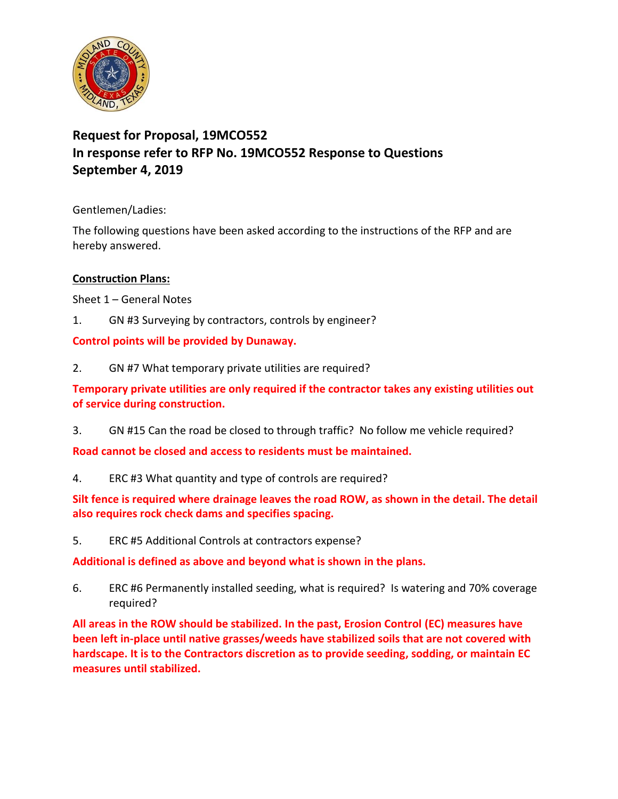

# **Request for Proposal, 19MCO552 In response refer to RFP No. 19MCO552 Response to Questions September 4, 2019**

Gentlemen/Ladies:

The following questions have been asked according to the instructions of the RFP and are hereby answered.

# **Construction Plans:**

Sheet 1 – General Notes

1. GN #3 Surveying by contractors, controls by engineer?

# **Control points will be provided by Dunaway.**

2. GN #7 What temporary private utilities are required?

**Temporary private utilities are only required if the contractor takes any existing utilities out of service during construction.** 

3. GN #15 Can the road be closed to through traffic? No follow me vehicle required?

**Road cannot be closed and access to residents must be maintained.** 

4. ERC #3 What quantity and type of controls are required?

**Silt fence is required where drainage leaves the road ROW, as shown in the detail. The detail also requires rock check dams and specifies spacing.** 

5. ERC #5 Additional Controls at contractors expense?

**Additional is defined as above and beyond what is shown in the plans.** 

6. ERC #6 Permanently installed seeding, what is required? Is watering and 70% coverage required?

**All areas in the ROW should be stabilized. In the past, Erosion Control (EC) measures have been left in-place until native grasses/weeds have stabilized soils that are not covered with hardscape. It is to the Contractors discretion as to provide seeding, sodding, or maintain EC measures until stabilized.**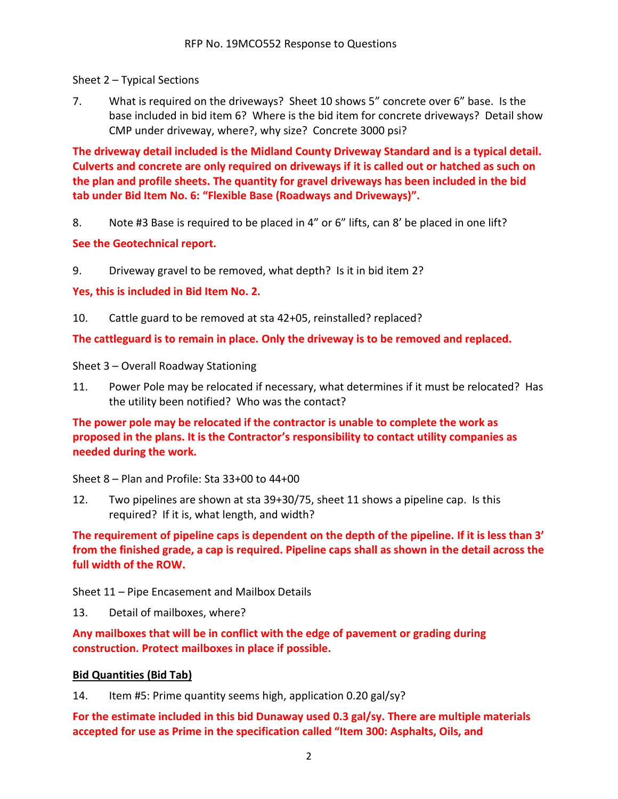Sheet 2 – Typical Sections

7. What is required on the driveways? Sheet 10 shows 5" concrete over 6" base. Is the base included in bid item 6? Where is the bid item for concrete driveways? Detail show CMP under driveway, where?, why size? Concrete 3000 psi?

**The driveway detail included is the Midland County Driveway Standard and is a typical detail. Culverts and concrete are only required on driveways if it is called out or hatched as such on the plan and profile sheets. The quantity for gravel driveways has been included in the bid tab under Bid Item No. 6: "Flexible Base (Roadways and Driveways)".** 

8. Note #3 Base is required to be placed in 4" or 6" lifts, can 8' be placed in one lift?

#### **See the Geotechnical report.**

9. Driveway gravel to be removed, what depth? Is it in bid item 2?

**Yes, this is included in Bid Item No. 2.** 

10. Cattle guard to be removed at sta 42+05, reinstalled? replaced?

**The cattleguard is to remain in place. Only the driveway is to be removed and replaced.**

Sheet 3 – Overall Roadway Stationing

11. Power Pole may be relocated if necessary, what determines if it must be relocated? Has the utility been notified? Who was the contact?

**The power pole may be relocated if the contractor is unable to complete the work as proposed in the plans. It is the Contractor's responsibility to contact utility companies as needed during the work.**

Sheet 8 – Plan and Profile: Sta 33+00 to 44+00

12. Two pipelines are shown at sta 39+30/75, sheet 11 shows a pipeline cap. Is this required? If it is, what length, and width?

**The requirement of pipeline caps is dependent on the depth of the pipeline. If it is less than 3' from the finished grade, a cap is required. Pipeline caps shall as shown in the detail across the full width of the ROW.**

Sheet 11 – Pipe Encasement and Mailbox Details

13. Detail of mailboxes, where?

**Any mailboxes that will be in conflict with the edge of pavement or grading during construction. Protect mailboxes in place if possible.**

#### **Bid Quantities (Bid Tab)**

14. Item #5: Prime quantity seems high, application 0.20 gal/sy?

**For the estimate included in this bid Dunaway used 0.3 gal/sy. There are multiple materials accepted for use as Prime in the specification called "Item 300: Asphalts, Oils, and**